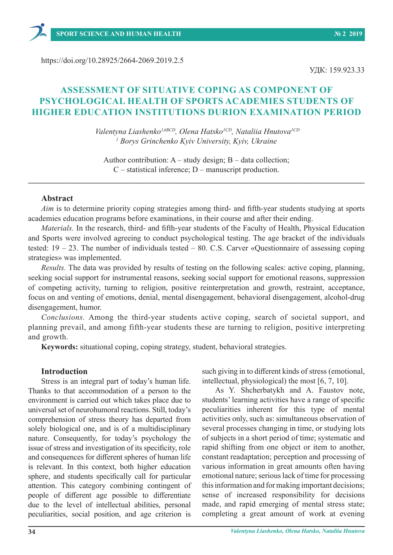https://doi.org/10.28925/2664-2069.2019.2.5

УДК: 159.923.33

# **ASSESSMENT OF SITUATIVE COPING AS COMPONENT OF PSYCHOLOGICAL HEALTH OF SPORTS ACADEMIES STUDENTS OF HIGHER EDUCATION INSTITUTIONS DURION EXAMINATION PERIOD**

*Valentyna Liashenko1АBCD, Olena Hatsko1CD, Nataliia Hnutova1CD 1 Borys Grinchenko Kyiv University, Kyiv, Ukraine*

Author contribution:  $A$  – study design;  $B$  – data collection; C – statistical inference; D – manuscript production.

**\_\_\_\_\_\_\_\_\_\_\_\_\_\_\_\_\_\_\_\_\_\_\_\_\_\_\_\_\_\_\_\_\_\_\_\_\_\_\_\_\_\_\_\_\_\_\_\_\_\_\_\_\_\_\_\_\_\_\_\_\_\_\_\_\_\_\_\_\_\_\_\_\_\_\_\_\_\_\_\_\_\_\_\_\_**

### **Abstract**

*Aim* is to determine priority coping strategies among third- and fifth-year students studying at sports academies education programs before examinations, in their course and after their ending.

*Materials.* In the research, third- and fifth-year students of the Faculty of Health, Physical Education and Sports were involved agreeing to conduct psychological testing. The age bracket of the individuals tested: 19 – 23. The number of individuals tested – 80. C.S. Carver «Questionnaire of assessing coping strategies» was implemented.

*Results.* The data was provided by results of testing on the following scales: active coping, planning, seeking social support for instrumental reasons, seeking social support for emotional reasons, suppression of competing activity, turning to religion, positive reinterpretation and growth, restraint, acceptance, focus on and venting of emotions, denial, mental disengagement, behavioral disengagement, alcohol-drug disengagement, humor.

*Conclusions.* Among the third-year students active coping, search of societal support, and planning prevail, and among fifth-year students these are turning to religion, positive interpreting and growth.

**Keywords:** situational coping, coping strategy, student, behavioral strategies.

### **Introduction**

Stress is an integral part of today's human life. Thanks to that accommodation of a person to the environment is carried out which takes place due to universal set of neurohumoral reactions. Still, today's comprehension of stress theory has departed from solely biological one, and is of a multidisciplinary nature. Consequently, for today's psychology the issue of stress and investigation of its specificity, role and consequences for different spheres of human life is relevant. In this context, both higher education sphere, and students specifically call for particular attention. This category combining contingent of people of different age possible to differentiate due to the level of intellectual abilities, personal peculiarities, social position, and age criterion is

such giving in to different kinds of stress (emotional, intellectual, physiological) the most [6, 7, 10].

As Y. Shcherbatykh and A. Faustov note, students' learning activities have a range of specific peculiarities inherent for this type of mental activities only, such as: simultaneous observation of several processes changing in time, or studying lots of subjects in a short period of time; systematic and rapid shifting from one object or item to another, constant readaptation; perception and processing of various information in great amounts often having emotional nature; serious lack of time for processing this information and for making important decisions; sense of increased responsibility for decisions made, and rapid emerging of mental stress state; completing a great amount of work at evening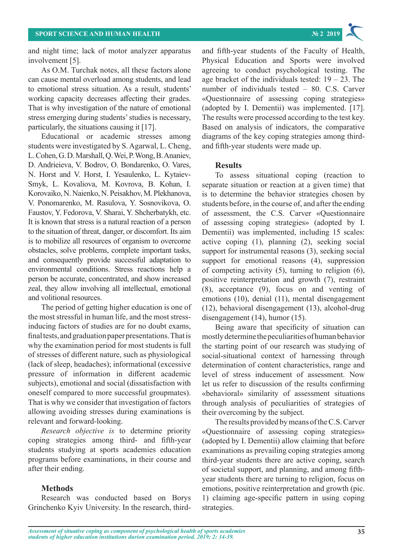and night time; lack of motor analyzer apparatus involvement [5].

As O.M. Turchak notes, all these factors alone can cause mental overload among students, and lead to emotional stress situation. As a result, students' working capacity decreases affecting their grades. That is why investigation of the nature of emotional stress emerging during students' studies is necessary, particularly, the situations causing it [17].

Educational or academic stresses among students were investigated by S. Agarwal, L. Cheng, L. Cohen, G. D. Marshall, Q. Wei, P. Wong, B. Ananiev, D. Andrieieva, V. Bodrov, O. Bondarenko, O. Vares, N. Horst and V. Horst, I. Yesaulenko, L. Kytaiev-Smyk, L. Kovaliova, M. Kovrova, B. Kohan, I. Korovaiko, N. Naienko, N. Peisakhov, M. Plekhanova, V. Ponomarenko, M. Rasulova, Y. Sosnovikova, O. Faustov, Y. Fedorova, V. Sharai, Y. Shcherbatykh, etc. It is known that stress is a natural reaction of a person to the situation of threat, danger, or discomfort. Its aim is to mobilize all resources of organism to overcome obstacles, solve problems, complete important tasks, and consequently provide successful adaptation to environmental conditions. Stress reactions help a person be accurate, concentrated, and show increased zeal, they allow involving all intellectual, emotional and volitional resources.

The period of getting higher education is one of the most stressful in human life, and the most stressinducing factors of studies are for no doubt exams, final tests, and graduation paper presentations. That is why the examination period for most students is full of stresses of different nature, such as physiological (lack of sleep, headaches); informational (excessive pressure of information in different academic subjects), emotional and social (dissatisfaction with oneself compared to more successful groupmates). That is why we consider that investigation of factors allowing avoiding stresses during examinations is relevant and forward-looking.

*Research objective is* to determine priority coping strategies among third- and fifth-year students studying at sports academies education programs before examinations, in their course and after their ending.

### **Methods**

Research was conducted based on Borys Grinchenko Kyiv University. In the research, third-

and fifth-year students of the Faculty of Health, Physical Education and Sports were involved agreeing to conduct psychological testing. The age bracket of the individuals tested:  $19 - 23$ . The number of individuals tested – 80. C.S. Carver «Questionnaire of assessing coping strategies» (adopted by I. Dementii) was implemented. [17]. The results were processed according to the test key. Based on analysis of indicators, the comparative diagrams of the key coping strategies among thirdand fifth-year students were made up.

#### **Results**

To assess situational coping (reaction to separate situation or reaction at a given time) that is to determine the behavior strategies chosen by students before, in the course of, and after the ending of assessment, the C.S. Carver «Questionnaire of assessing coping strategies» (adopted by I. Dementii) was implemented, including 15 scales: active coping (1), planning (2), seeking social support for instrumental reasons (3), seeking social support for emotional reasons (4), suppression of competing activity (5), turning to religion (6), positive reinterpretation and growth (7), restraint (8), acceptance (9), focus on and venting of emotions (10), denial (11), mental disengagement (12), behavioral disengagement (13), alcohol-drug disengagement (14), humor (15).

Being aware that specificity of situation can mostly determine the peculiarities of human behavior the starting point of our research was studying of social-situational context of harnessing through determination of content characteristics, range and level of stress inducement of assessment. Now let us refer to discussion of the results confirming «behavioral» similarity of assessment situations through analysis of peculiarities of strategies of their overcoming by the subject.

The results provided by means of the C.S. Carver «Questionnaire of assessing coping strategies» (adopted by I. Dementii) allow claiming that before examinations as prevailing coping strategies among third-year students there are active coping, search of societal support, and planning, and among fifthyear students there are turning to religion, focus on emotions, positive reinterpretation and growth (pic. 1) claiming age-specific pattern in using coping strategies.

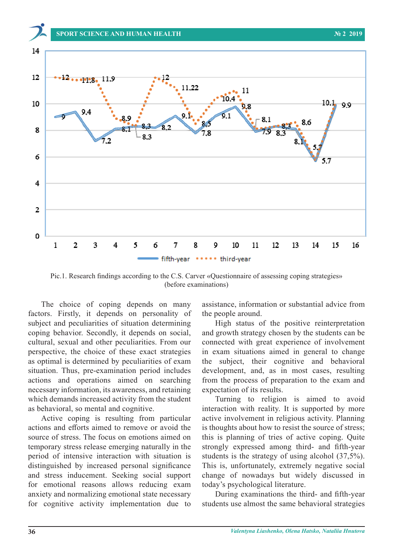

Pic.1. Research findings according to the C.S. Carver «Questionnaire of assessing coping strategies» (before examinations) (before examinations) strategies» (before examinations)

The choice of coping depends on many factors. Firstly, it depends on personality of the people around. subject and peculiarities of situation determining High status of the positive reinterpretation coping behavior. Secondly, it depends on social, and growth strategy chosen by the students can be cultural, sexual and other peculiarities. From our perspective, the choice of these exact strategies in exam situations aimed in general to change as optimal is determined by peculiarities of exam the subject, their cog situation. Thus, pre-examination period includes actions and operations aimed on searching from the process of preparation to the exam and necessary information, its awareness, and retaining hecessary information, its awareness, and retaining expectation of its results.<br>which demands increased activity from the student Turning to religion is aimed to avoid as behavioral, so mental and cognitive. cultural, sexual and other peculiarities. From our connected with great experience of involvement

Active coping is resulting from particular actions and efforts aimed to remove or avoid the is thou source of stress. The focus on emotions aimed on period of intensive interaction with situation is distinguished by increased personal significance This is, unfor and stress inducement. Seeking social support for emotional reasons allows reducing exam today's psychological literature. anxiety and normalizing emotional state necessary for cognitive activity implementation due to

assistance, information or substantial advice from the people around.

High status of the positive reinterpretation and growth strategy chosen by the students can be in exam situations aimed in general to change the subject, their cognitive and behavioral uation. Thus, pre-examination period includes development, and, as in most cases, resulting from the process of preparation to the exam and expectation of its results.

temporary stress release emerging naturally in the strongly expressed among third- and fifth-year Turning to religion is aimed to avoid with definance interaction with reality. It is supported by more as behavioral, so mental and cognitive. as cena visita, so mentational and cognitive.<br>
Active coping is resulting from particular active involvement in religious activity. Planning is thoughts about how to resist the source of stress; ance of stress. The focus on emotions aimed on this is planning of tries of active coping. Quite strongly expressed among third- and fifth-year period of intensive interaction with situation is students is the strategy of using alcohol (37,5%). This is, unfortunately, extremely negative social d stress inducement. Seeking social support change of nowadays but widely discussed in today's psychological literature.

anxiety and normalizing emotional state necessary During examinations the third- and fifth-year for cognitive activity implementation due to students use almost the same behavioral strategies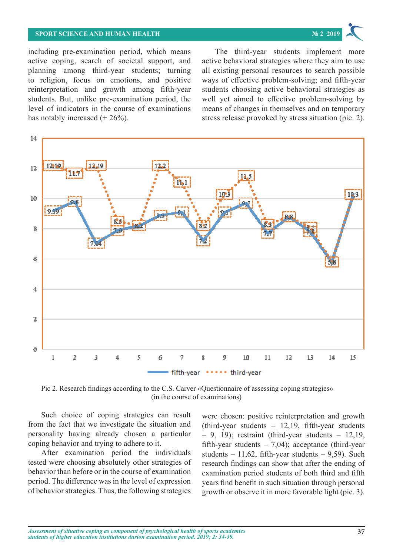#### **SPORT SCIENCE AND HUMAN HEALTH № 2 2019**



including pre-examination period, which means active coping, search of societal support, and planning among third-year students; turning all existing personal res to religion, focus on emotions, and positive reinterpretation and growth among fifth-year has notably increased  $(+ 26\%)$ .

remicripretation and growth among min-year students enoosing active behavioral strategies as<br>students. But, unlike pre-examination period, the well yet aimed to effective problem-solving by students. But, unlike pre-examination period, the well yet aimed to effective problem-solving by<br>level of indicators in the course of examinations means of changes in themselves and on temporary The third-year students implement more active coping, search of societal support, and active behavioral strategies where they aim to use all existing personal resources to search possible religion, focus on emotions, and positive ways of effective problem-solving; and fifth-year intermediation and according more active behavioral strategies where the third-year students choosing active behavioral strategies as well yet aimed to effective problem-solving by means of changes in themselves and on temporary has notably increased  $(+ 26%)$ .<br>has notably increased  $(+ 26%)$ .



Pic 2. Research findings according to the C.S. Carver «Questionnaire of assessing coping strategies» Figure of examinations) (in the course of examinations)

Such choice of coping strategies can result from the fact that we investigate the situation and personality having already chosen a particular coping behavior and trying to adhere to it.

After examination period the individuals tested were choosing absolutely other strategies of behavior than before or in the course of examination

om the fact that we investigate the situation and (third-year students  $-12,19$ , fifth-year students personality having already chosen a particular  $-9$ , 19); restraint (third-year students – 12,19, behavior and trying to adhere to it.  $\text{fifth-year students} - 7,04$ ; acceptance (third-year After examination period the individuals students – 11,62, fifth-year students – 9,59). Such tested were choosing absolutely other strategies of research findings can show that after the ending of examination period students of both third-year students of both third-and fifth-<br>period. The difference was in the level of expression vears find benefit in such situation through personal person. The university was in the tever of enpression years find behent in such studient inough personal of behavior strategies. Thus, the following strategies growth or observe it in more favorable light (pic. 3). of behavior strategies. Thus, the following strategies growth or observe it in more favorable light (pic. 3). were chosen: positive reinterpretation and growth examination period students of both third and fifth years find benefit in such situation through personal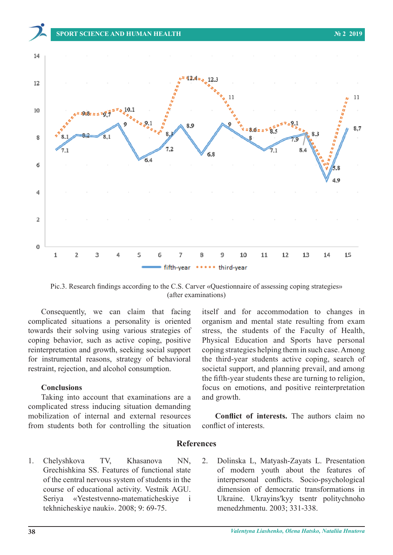#### **SPORT SCIENCE AND HUMAN HEALTH № 2 2019**



Pic.3. Research findings according to the C.S. Carver «Questionnaire of assessing coping strategies» (after examinations) (after examinations)

Consequently, we can claim that facing complicated situations a personality is oriented tomphedica shadrons a personality is offenced eigenfush and mental state resulting from extant towards their solving using various strategies of stress, the students of the Faculty of Health, coping behavior, such as active coping, positive reinterpretation and growth, seeking social support reinterpretation and growth, seeking social support for instrumental reasons, strategy of behavioral restraint, rejection, and alcohol consumption.

### **Conclusions**

ranchy metascount that examinations are a land growth.<br>complicated stress inducing situation demanding comprises the measuring them in summaring<br>mobilization of internal and external resources **Conflict of interests.** The authors claim no from students both for controlling the situation conflict of interests. The address claim he extends for the controlling the presention

Taking into account that examinations are a and growth. itself and for accommodation to changes in independently, we can claim that facing fiscil and for accommodation to enanges in ideal situations a personality is oriented organism and mental state resulting from exam stress, the students of the Faculty of Health, reinterpretation solving using various strategies of stress, the statems of the ractiny of freature, coping behavior, such as active coping, positive Physical Education and Sports have personal coping strategies helping them in such case. Among the third-year students active coping, search of societal support, and planning prevail, and among the fifth-year students these are turning to religion, that account the fifth-year students these are turning to religion, For the mail year statement and external and external resources from structure the situation of the situation of the situation of the situation of the situation of the situation in the situation of the situation in the sit and growth.

> **Conflict of interests.** The authors claim no conflict of interests.

# **References**

- 1. Chelyshkova TV, Khasanova NN, Grechishkina SS. Features of functional state of the central nervous system of students in the course of educational activity. Vestnik AGU. Seriya «Yestestvenno-matematicheskiye i tekhnicheskiye nauki». 2008; 9: 69-75.
- 2. Dolinska L, Matyash-Zayats L. Presentation of modern youth about the features of interpersonal conflicts. Socio-psychological dimension of democratic transformations in Ukraine. Ukrayins'kyy tsentr politychnoho menedzhmentu. 2003; 331-338.